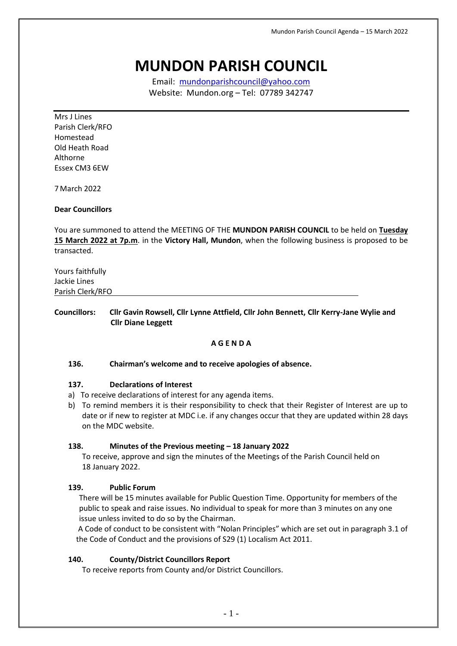# **MUNDON PARISH COUNCIL**

Email: [mundonparishcouncil@yahoo.com](mailto:mundonparishcouncil@yahoo.com) Website: Mundon.org – Tel: 07789 342747

Mrs J Lines Parish Clerk/RFO Homestead Old Heath Road Althorne Essex CM3 6EW

7 March 2022

#### **Dear Councillors**

You are summoned to attend the MEETING OF THE **MUNDON PARISH COUNCIL** to be held on **Tuesday 15 March 2022 at 7p.m**. in the **Victory Hall, Mundon**, when the following business is proposed to be transacted.

| Yours faithfully |  |  |
|------------------|--|--|
| Jackie Lines     |  |  |
| Parish Clerk/RFO |  |  |
|                  |  |  |

# **Councillors: Cllr Gavin Rowsell, Cllr Lynne Attfield, Cllr John Bennett, Cllr Kerry-Jane Wylie and Cllr Diane Leggett**

# **A G E N D A**

#### **136. Chairman's welcome and to receive apologies of absence.**

#### **137. Declarations of Interest**

- a) To receive declarations of interest for any agenda items.
- b) To remind members it is their responsibility to check that their Register of Interest are up to date or if new to register at MDC i.e. if any changes occur that they are updated within 28 days on the MDC website.

#### **138. Minutes of the Previous meeting – 18 January 2022**

To receive, approve and sign the minutes of the Meetings of the Parish Council held on 18 January 2022.

# **139. Public Forum**

There will be 15 minutes available for Public Question Time. Opportunity for members of the public to speak and raise issues. No individual to speak for more than 3 minutes on any one issue unless invited to do so by the Chairman.

A Code of conduct to be consistent with "Nolan Principles" which are set out in paragraph 3.1 of the Code of Conduct and the provisions of S29 (1) Localism Act 2011.

# **140. County/District Councillors Report**

To receive reports from County and/or District Councillors.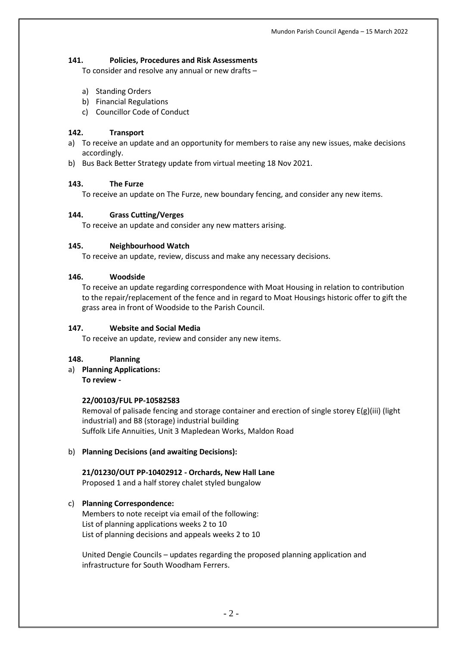# **141. Policies, Procedures and Risk Assessments**

To consider and resolve any annual or new drafts –

- a) Standing Orders
- b) Financial Regulations
- c) Councillor Code of Conduct

# **142. Transport**

- a) To receive an update and an opportunity for members to raise any new issues, make decisions accordingly.
- b) Bus Back Better Strategy update from virtual meeting 18 Nov 2021.

# **143. The Furze**

To receive an update on The Furze, new boundary fencing, and consider any new items.

# **144. Grass Cutting/Verges**

To receive an update and consider any new matters arising.

# **145. Neighbourhood Watch**

To receive an update, review, discuss and make any necessary decisions.

# **146. Woodside**

To receive an update regarding correspondence with Moat Housing in relation to contribution to the repair/replacement of the fence and in regard to Moat Housings historic offer to gift the grass area in front of Woodside to the Parish Council.

# **147. Website and Social Media**

To receive an update, review and consider any new items.

# **148. Planning**

a) **Planning Applications: To review -**

#### **22/00103/FUL PP-10582583**

Removal of palisade fencing and storage container and erection of single storey E(g)(iii) (light industrial) and B8 (storage) industrial building Suffolk Life Annuities, Unit 3 Mapledean Works, Maldon Road

# b) **Planning Decisions (and awaiting Decisions):**

# **21/01230/OUT PP-10402912 - Orchards, New Hall Lane**

Proposed 1 and a half storey chalet styled bungalow

# c) **Planning Correspondence:**

Members to note receipt via email of the following: List of planning applications weeks 2 to 10 List of planning decisions and appeals weeks 2 to 10

United Dengie Councils – updates regarding the proposed planning application and infrastructure for South Woodham Ferrers.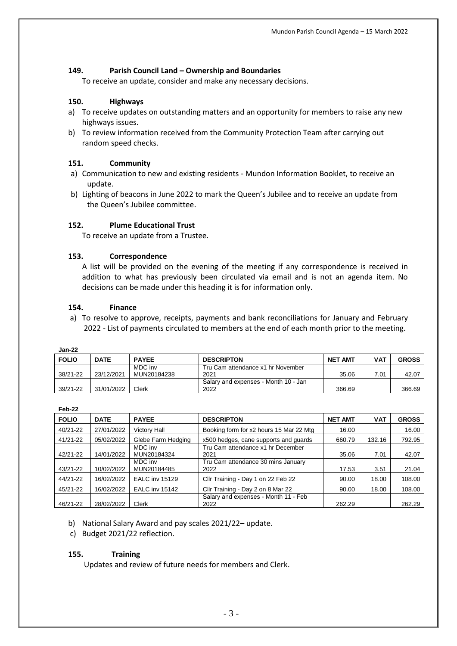# **149. Parish Council Land – Ownership and Boundaries**

To receive an update, consider and make any necessary decisions.

#### **150. Highways**

- a) To receive updates on outstanding matters and an opportunity for members to raise any new highways issues.
- b) To review information received from the Community Protection Team after carrying out random speed checks.

#### **151. Community**

- a) Communication to new and existing residents Mundon Information Booklet, to receive an update.
- b) Lighting of beacons in June 2022 to mark the Queen's Jubilee and to receive an update from the Queen's Jubilee committee.

#### **152. Plume Educational Trust**

To receive an update from a Trustee.

#### **153. Correspondence**

A list will be provided on the evening of the meeting if any correspondence is received in addition to what has previously been circulated via email and is not an agenda item. No decisions can be made under this heading it is for information only.

#### **154. Finance**

a) To resolve to approve, receipts, payments and bank reconciliations for January and February 2022 - List of payments circulated to members at the end of each month prior to the meeting.

| <b>Jan-22</b> |             |              |                                      |                |            |              |
|---------------|-------------|--------------|--------------------------------------|----------------|------------|--------------|
| <b>FOLIO</b>  | <b>DATE</b> | <b>PAYEE</b> | <b>DESCRIPTON</b>                    | <b>NET AMT</b> | <b>VAT</b> | <b>GROSS</b> |
|               |             | MDC inv      | Tru Cam attendance x1 hr November    |                |            |              |
| 38/21-22      | 23/12/2021  | MUN20184238  | 2021                                 | 35.06          | 7.01       | 42.07        |
|               |             |              | Salary and expenses - Month 10 - Jan |                |            |              |
| 39/21-22      | 31/01/2022  | $C$ lerk     | 2022                                 | 366.69         |            | 366.69       |

| Feb-22       |             |                        |                                              |                |            |              |
|--------------|-------------|------------------------|----------------------------------------------|----------------|------------|--------------|
| <b>FOLIO</b> | <b>DATE</b> | <b>PAYEE</b>           | <b>DESCRIPTON</b>                            | <b>NET AMT</b> | <b>VAT</b> | <b>GROSS</b> |
| 40/21-22     | 27/01/2022  | Victory Hall           | Booking form for x2 hours 15 Mar 22 Mtg      | 16.00          |            | 16.00        |
| 41/21-22     | 05/02/2022  | Glebe Farm Hedging     | x500 hedges, cane supports and guards        | 660.79         | 132.16     | 792.95       |
| 42/21-22     | 14/01/2022  | MDC inv<br>MUN20184324 | Tru Cam attendance x1 hr December<br>2021    | 35.06          | 7.01       | 42.07        |
| 43/21-22     | 10/02/2022  | MDC inv<br>MUN20184485 | Tru Cam attendance 30 mins January<br>2022   | 17.53          | 3.51       | 21.04        |
| 44/21-22     | 16/02/2022  | <b>EALC inv 15129</b>  | Cllr Training - Day 1 on 22 Feb 22           | 90.00          | 18.00      | 108.00       |
| 45/21-22     | 16/02/2022  | <b>EALC</b> inv 15142  | Cllr Training - Day 2 on 8 Mar 22            | 90.00          | 18.00      | 108.00       |
| 46/21-22     | 28/02/2022  | Clerk                  | Salary and expenses - Month 11 - Feb<br>2022 | 262.29         |            | 262.29       |

b) National Salary Award and pay scales 2021/22– update.

c) Budget 2021/22 reflection.

#### **155. Training**

Updates and review of future needs for members and Clerk.